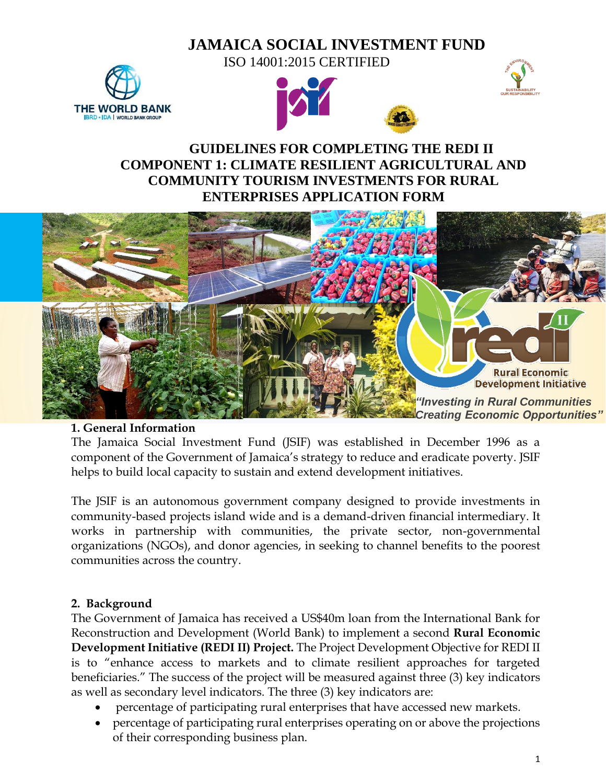# **JAMAICA SOCIAL INVESTMENT FUND**







# **GUIDELINES FOR COMPLETING THE REDI II COMPONENT 1: CLIMATE RESILIENT AGRICULTURAL AND COMMUNITY TOURISM INVESTMENTS FOR RURAL ENTERPRISES APPLICATION FORM**



#### **1. General Information**

The Jamaica Social Investment Fund (JSIF) was established in December 1996 as a component of the Government of Jamaica's strategy to reduce and eradicate poverty. JSIF helps to build local capacity to sustain and extend development initiatives.

The JSIF is an autonomous government company designed to provide investments in community-based projects island wide and is a demand-driven financial intermediary. It works in partnership with communities, the private sector, non-governmental organizations (NGOs), and donor agencies, in seeking to channel benefits to the poorest communities across the country.

### **2. Background**

The Government of Jamaica has received a US\$40m loan from the International Bank for Reconstruction and Development (World Bank) to implement a second **Rural Economic Development Initiative (REDI II) Project.** The Project Development Objective for REDI II is to "enhance access to markets and to climate resilient approaches for targeted beneficiaries." The success of the project will be measured against three (3) key indicators as well as secondary level indicators. The three (3) key indicators are:

- percentage of participating rural enterprises that have accessed new markets.
- percentage of participating rural enterprises operating on or above the projections of their corresponding business plan.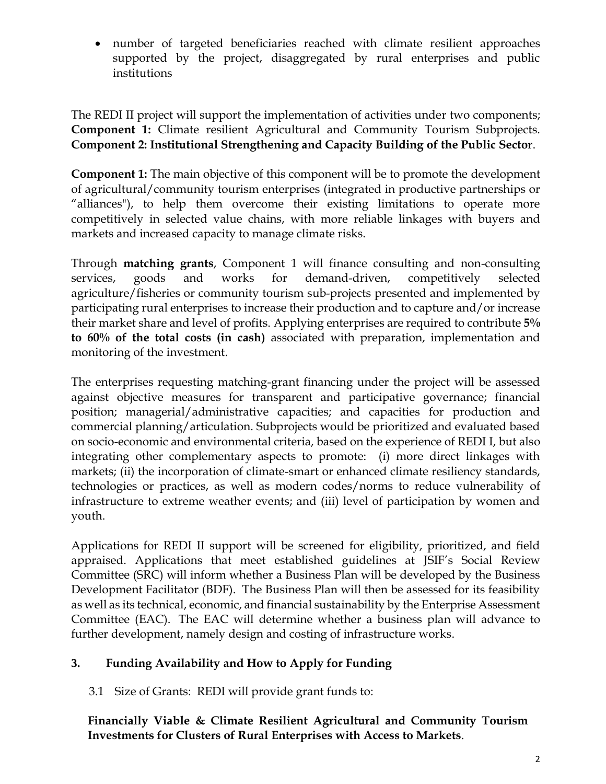• number of targeted beneficiaries reached with climate resilient approaches supported by the project, disaggregated by rural enterprises and public institutions

The REDI II project will support the implementation of activities under two components; **Component 1:** Climate resilient Agricultural and Community Tourism Subprojects. **Component 2: Institutional Strengthening and Capacity Building of the Public Sector**.

**Component 1:** The main objective of this component will be to promote the development of agricultural/community tourism enterprises (integrated in productive partnerships or "alliances"), to help them overcome their existing limitations to operate more competitively in selected value chains, with more reliable linkages with buyers and markets and increased capacity to manage climate risks.

Through **matching grants**, Component 1 will finance consulting and non-consulting services, goods and works for demand-driven, competitively selected agriculture/fisheries or community tourism sub-projects presented and implemented by participating rural enterprises to increase their production and to capture and/or increase their market share and level of profits. Applying enterprises are required to contribute **5% to 60% of the total costs (in cash)** associated with preparation, implementation and monitoring of the investment.

The enterprises requesting matching-grant financing under the project will be assessed against objective measures for transparent and participative governance; financial position; managerial/administrative capacities; and capacities for production and commercial planning/articulation. Subprojects would be prioritized and evaluated based on socio-economic and environmental criteria, based on the experience of REDI I, but also integrating other complementary aspects to promote: (i) more direct linkages with markets; (ii) the incorporation of climate-smart or enhanced climate resiliency standards, technologies or practices, as well as modern codes/norms to reduce vulnerability of infrastructure to extreme weather events; and (iii) level of participation by women and youth.

Applications for REDI II support will be screened for eligibility, prioritized, and field appraised. Applications that meet established guidelines at JSIF's Social Review Committee (SRC) will inform whether a Business Plan will be developed by the Business Development Facilitator (BDF). The Business Plan will then be assessed for its feasibility as well as its technical, economic, and financial sustainability by the Enterprise Assessment Committee (EAC). The EAC will determine whether a business plan will advance to further development, namely design and costing of infrastructure works.

### **3. Funding Availability and How to Apply for Funding**

3.1 Size of Grants: REDI will provide grant funds to:

**Financially Viable & Climate Resilient Agricultural and Community Tourism Investments for Clusters of Rural Enterprises with Access to Markets**.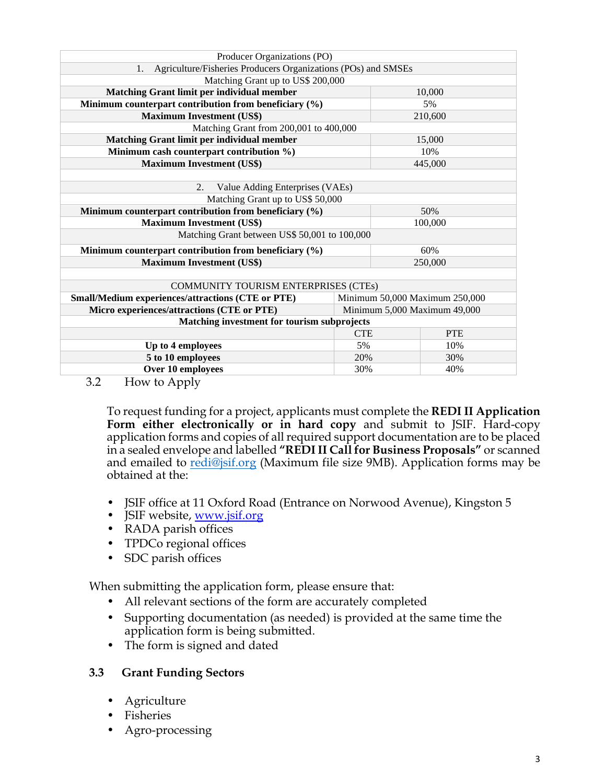| Producer Organizations (PO)                                         |                                |            |  |
|---------------------------------------------------------------------|--------------------------------|------------|--|
| Agriculture/Fisheries Producers Organizations (POs) and SMSEs<br>1. |                                |            |  |
| Matching Grant up to US\$ 200,000                                   |                                |            |  |
| Matching Grant limit per individual member                          |                                | 10,000     |  |
| Minimum counterpart contribution from beneficiary (%)               |                                | 5%         |  |
| <b>Maximum Investment (US\$)</b>                                    |                                | 210,600    |  |
| Matching Grant from 200,001 to 400,000                              |                                |            |  |
| <b>Matching Grant limit per individual member</b>                   |                                | 15,000     |  |
| Minimum cash counterpart contribution %)                            |                                | 10%        |  |
| <b>Maximum Investment (US\$)</b>                                    |                                | 445,000    |  |
|                                                                     |                                |            |  |
| Value Adding Enterprises (VAEs)<br>2.                               |                                |            |  |
| Matching Grant up to US\$ 50,000                                    |                                |            |  |
| Minimum counterpart contribution from beneficiary (%)               | 50%                            |            |  |
| <b>Maximum Investment (US\$)</b>                                    | 100,000                        |            |  |
| Matching Grant between US\$ 50,001 to 100,000                       |                                |            |  |
| Minimum counterpart contribution from beneficiary (%)<br>60%        |                                |            |  |
| <b>Maximum Investment (US\$)</b>                                    | 250,000                        |            |  |
|                                                                     |                                |            |  |
| COMMUNITY TOURISM ENTERPRISES (CTEs)                                |                                |            |  |
| <b>Small/Medium experiences/attractions (CTE or PTE)</b>            | Minimum 50,000 Maximum 250,000 |            |  |
| Micro experiences/attractions (CTE or PTE)                          | Minimum 5,000 Maximum 49,000   |            |  |
| Matching investment for tourism subprojects                         |                                |            |  |
|                                                                     | <b>CTE</b>                     | <b>PTE</b> |  |
| Up to 4 employees                                                   | 5%                             | 10%        |  |
| 5 to 10 employees                                                   | 20%                            | 30%        |  |
| Over 10 employees                                                   | 30%                            | 40%        |  |
| $\sim$ $\sim$<br><b>T</b> T                                         |                                |            |  |

3.2 How to Apply

To request funding for a project, applicants must complete the **REDI II Application Form either electronically or in hard copy** and submit to JSIF. Hard-copy application forms and copies of all required support documentation are to be placed in a sealed envelope and labelled **"REDI II Call for Business Proposals"** or scanned and emailed to [redi@jsif.org](mailto:redi@jsif.org) (Maximum file size 9MB). Application forms may be obtained at the:

- JSIF office at 11 Oxford Road (Entrance on Norwood Avenue), Kingston 5
- JSIF website, www.jsif.org
- RADA parish offices
- TPDCo regional offices
- SDC parish offices

When submitting the application form, please ensure that:

- All relevant sections of the form are accurately completed
- Supporting documentation (as needed) is provided at the same time the application form is being submitted.
- The form is signed and dated

#### **3.3 Grant Funding Sectors**

- Agriculture
- Fisheries
- Agro-processing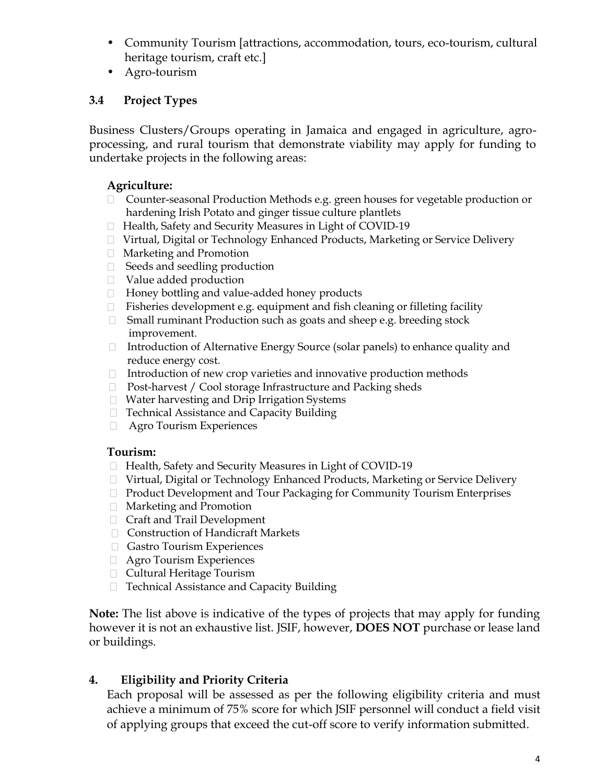- Community Tourism [attractions, accommodation, tours, eco-tourism, cultural heritage tourism, craft etc.]
- Agro-tourism

## **3.4 Project Types**

Business Clusters/Groups operating in Jamaica and engaged in agriculture, agroprocessing, and rural tourism that demonstrate viability may apply for funding to undertake projects in the following areas:

### **Agriculture:**

- $\Box$  Counter-seasonal Production Methods e.g. green houses for vegetable production or hardening Irish Potato and ginger tissue culture plantlets
- □ Health, Safety and Security Measures in Light of COVID-19
- □ Virtual, Digital or Technology Enhanced Products, Marketing or Service Delivery
- Marketing and Promotion
- □ Seeds and seedling production
- Value added production
- □ Honey bottling and value-added honey products
- $\Box$  Fisheries development e.g. equipment and fish cleaning or filleting facility
- □ Small ruminant Production such as goats and sheep e.g. breeding stock improvement.
- □ Introduction of Alternative Energy Source (solar panels) to enhance quality and reduce energy cost.
- $\Box$  Introduction of new crop varieties and innovative production methods
- □ Post-harvest / Cool storage Infrastructure and Packing sheds
- Water harvesting and Drip Irrigation Systems
- □ Technical Assistance and Capacity Building
- **Experiences**

### **Tourism:**

- □ Health, Safety and Security Measures in Light of COVID-19
- Virtual, Digital or Technology Enhanced Products, Marketing or Service Delivery
- $\Box$  Product Development and Tour Packaging for Community Tourism Enterprises
- Marketing and Promotion
- Craft and Trail Development
- Construction of Handicraft Markets
- Gastro Tourism Experiences
- **Experiences**
- □ Cultural Heritage Tourism
- □ Technical Assistance and Capacity Building

**Note:** The list above is indicative of the types of projects that may apply for funding however it is not an exhaustive list. JSIF, however, **DOES NOT** purchase or lease land or buildings.

## **4. Eligibility and Priority Criteria**

Each proposal will be assessed as per the following eligibility criteria and must achieve a minimum of 75% score for which JSIF personnel will conduct a field visit of applying groups that exceed the cut-off score to verify information submitted.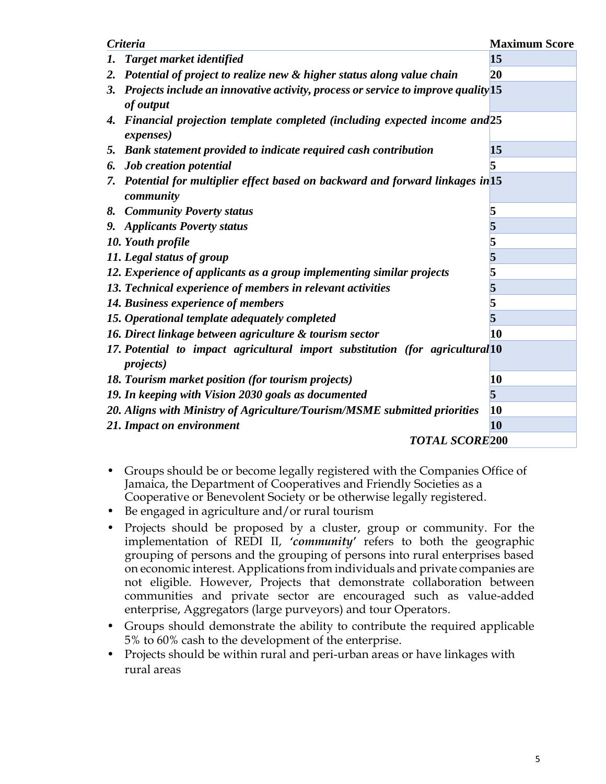| <b>Criteria</b>                                                                                      | <b>Maximum Score</b> |
|------------------------------------------------------------------------------------------------------|----------------------|
| Target market identified<br>1.                                                                       | 15                   |
| Potential of project to realize new & higher status along value chain<br>2.                          | 20                   |
| Projects include an innovative activity, process or service to improve quality 15<br>3.<br>of output |                      |
| Financial projection template completed (including expected income and 25<br>4.<br><i>expenses</i> ) |                      |
| 5. Bank statement provided to indicate required cash contribution                                    | 15                   |
| <b>Job</b> creation potential<br>6.                                                                  | 5                    |
| 7. Potential for multiplier effect based on backward and forward linkages in 15<br>community         |                      |
| 8. Community Poverty status                                                                          | 5                    |
| 9. Applicants Poverty status                                                                         | 5                    |
| 10. Youth profile                                                                                    | 5                    |
| 11. Legal status of group                                                                            | 5                    |
| 12. Experience of applicants as a group implementing similar projects                                | 5                    |
| 13. Technical experience of members in relevant activities                                           | 5                    |
| 14. Business experience of members                                                                   | 5                    |
| 15. Operational template adequately completed                                                        | 5                    |
| 16. Direct linkage between agriculture & tourism sector                                              | 10                   |
| 17. Potential to impact agricultural import substitution (for agricultural 10<br><i>projects</i> )   |                      |
| 18. Tourism market position (for tourism projects)                                                   | 10                   |
| 19. In keeping with Vision 2030 goals as documented                                                  | 5                    |
| 20. Aligns with Ministry of Agriculture/Tourism/MSME submitted priorities                            | 10                   |
| 21. Impact on environment                                                                            | 10                   |
| <b>TOTAL SCORE 200</b>                                                                               |                      |

- Groups should be or become legally registered with the Companies Office of Jamaica, the Department of Cooperatives and Friendly Societies as a Cooperative or Benevolent Society or be otherwise legally registered.
- Be engaged in agriculture and/or rural tourism
- Projects should be proposed by a cluster, group or community. For the implementation of REDI II, *'community'* refers to both the geographic grouping of persons and the grouping of persons into rural enterprises based on economic interest. Applications from individuals and private companies are not eligible. However, Projects that demonstrate collaboration between communities and private sector are encouraged such as value-added enterprise, Aggregators (large purveyors) and tour Operators.
- Groups should demonstrate the ability to contribute the required applicable 5% to 60% cash to the development of the enterprise.
- Projects should be within rural and peri-urban areas or have linkages with rural areas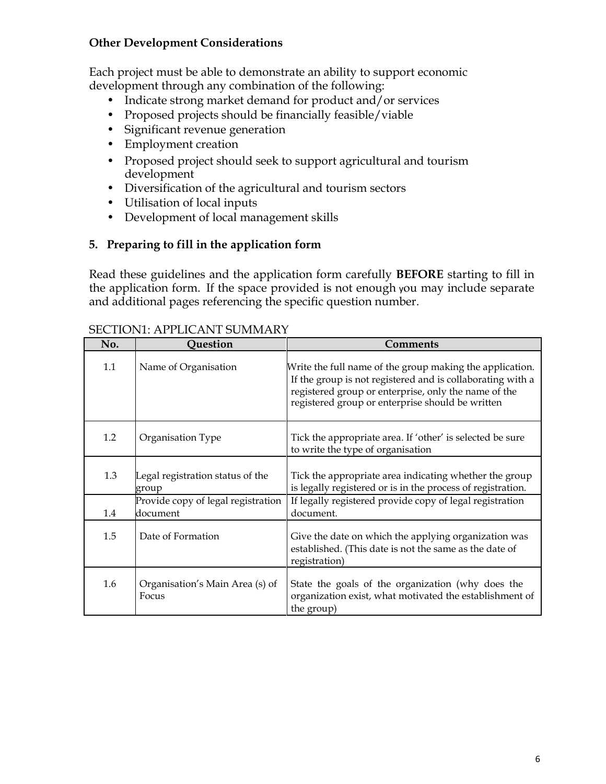#### **Other Development Considerations**

Each project must be able to demonstrate an ability to support economic development through any combination of the following:

- Indicate strong market demand for product and/or services
- Proposed projects should be financially feasible/viable
- Significant revenue generation
- Employment creation
- Proposed project should seek to support agricultural and tourism development
- Diversification of the agricultural and tourism sectors
- Utilisation of local inputs
- Development of local management skills

#### **5. Preparing to fill in the application form**

Read these guidelines and the application form carefully **BEFORE** starting to fill in the application form. If the space provided is not enough you may include separate and additional pages referencing the specific question number.

| No. | <b>Question</b>                                | <b>Comments</b>                                                                                                                                                                                                                    |
|-----|------------------------------------------------|------------------------------------------------------------------------------------------------------------------------------------------------------------------------------------------------------------------------------------|
| 1.1 | Name of Organisation                           | Write the full name of the group making the application.<br>If the group is not registered and is collaborating with a<br>registered group or enterprise, only the name of the<br>registered group or enterprise should be written |
| 1.2 | Organisation Type                              | Tick the appropriate area. If 'other' is selected be sure<br>to write the type of organisation                                                                                                                                     |
| 1.3 | Legal registration status of the<br>group      | Tick the appropriate area indicating whether the group<br>is legally registered or is in the process of registration.                                                                                                              |
| 1.4 | Provide copy of legal registration<br>document | If legally registered provide copy of legal registration<br>document.                                                                                                                                                              |
| 1.5 | Date of Formation                              | Give the date on which the applying organization was<br>established. (This date is not the same as the date of<br>registration)                                                                                                    |
| 1.6 | Organisation's Main Area (s) of<br>Focus       | State the goals of the organization (why does the<br>organization exist, what motivated the establishment of<br>the group)                                                                                                         |

#### SECTION1: APPLICANT SUMMARY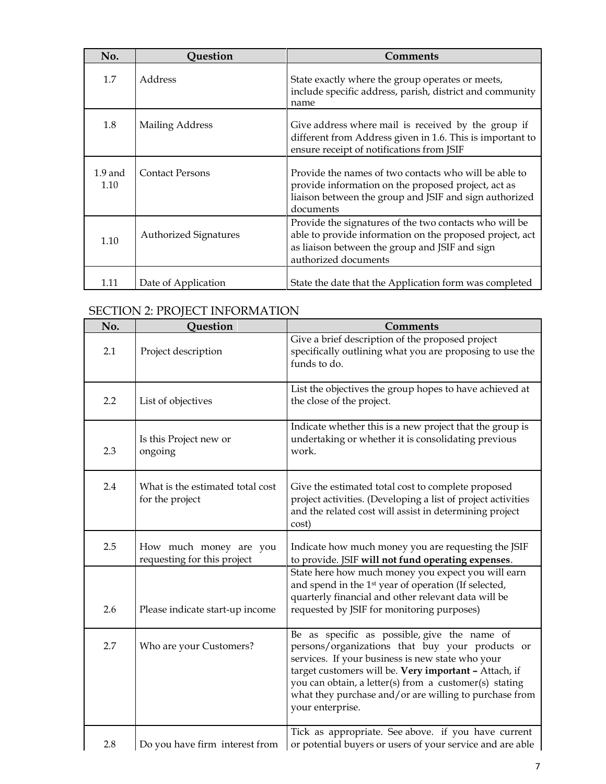| No.               | <b>Question</b>              | <b>Comments</b>                                                                                                                                                                              |
|-------------------|------------------------------|----------------------------------------------------------------------------------------------------------------------------------------------------------------------------------------------|
| 1.7               | Address                      | State exactly where the group operates or meets,<br>include specific address, parish, district and community<br>name                                                                         |
| 1.8               | <b>Mailing Address</b>       | Give address where mail is received by the group if<br>different from Address given in 1.6. This is important to<br>ensure receipt of notifications from JSIF                                |
| $1.9$ and<br>1.10 | <b>Contact Persons</b>       | Provide the names of two contacts who will be able to<br>provide information on the proposed project, act as<br>liaison between the group and JSIF and sign authorized<br>documents          |
| 1.10              | <b>Authorized Signatures</b> | Provide the signatures of the two contacts who will be<br>able to provide information on the proposed project, act<br>as liaison between the group and JSIF and sign<br>authorized documents |
| 1.11              | Date of Application          | State the date that the Application form was completed                                                                                                                                       |

## SECTION 2: PROJECT INFORMATION

| No. | Question                                              | <b>Comments</b>                                                                                                                                                                                                                                                                                                                                      |
|-----|-------------------------------------------------------|------------------------------------------------------------------------------------------------------------------------------------------------------------------------------------------------------------------------------------------------------------------------------------------------------------------------------------------------------|
| 2.1 | Project description                                   | Give a brief description of the proposed project<br>specifically outlining what you are proposing to use the<br>funds to do.                                                                                                                                                                                                                         |
| 2.2 | List of objectives                                    | List the objectives the group hopes to have achieved at<br>the close of the project.                                                                                                                                                                                                                                                                 |
| 2.3 | Is this Project new or<br>ongoing                     | Indicate whether this is a new project that the group is<br>undertaking or whether it is consolidating previous<br>work.                                                                                                                                                                                                                             |
| 2.4 | What is the estimated total cost<br>for the project   | Give the estimated total cost to complete proposed<br>project activities. (Developing a list of project activities<br>and the related cost will assist in determining project<br>cost)                                                                                                                                                               |
| 2.5 | How much money are you<br>requesting for this project | Indicate how much money you are requesting the JSIF<br>to provide. JSIF will not fund operating expenses.                                                                                                                                                                                                                                            |
| 2.6 | Please indicate start-up income                       | State here how much money you expect you will earn<br>and spend in the 1 <sup>st</sup> year of operation (If selected,<br>quarterly financial and other relevant data will be<br>requested by JSIF for monitoring purposes)                                                                                                                          |
| 2.7 | Who are your Customers?                               | Be as specific as possible, give the name of<br>persons/organizations that buy your products or<br>services. If your business is new state who your<br>target customers will be. Very important - Attach, if<br>you can obtain, a letter(s) from a customer(s) stating<br>what they purchase and/or are willing to purchase from<br>your enterprise. |
| 2.8 | Do you have firm interest from                        | Tick as appropriate. See above. if you have current<br>or potential buyers or users of your service and are able                                                                                                                                                                                                                                     |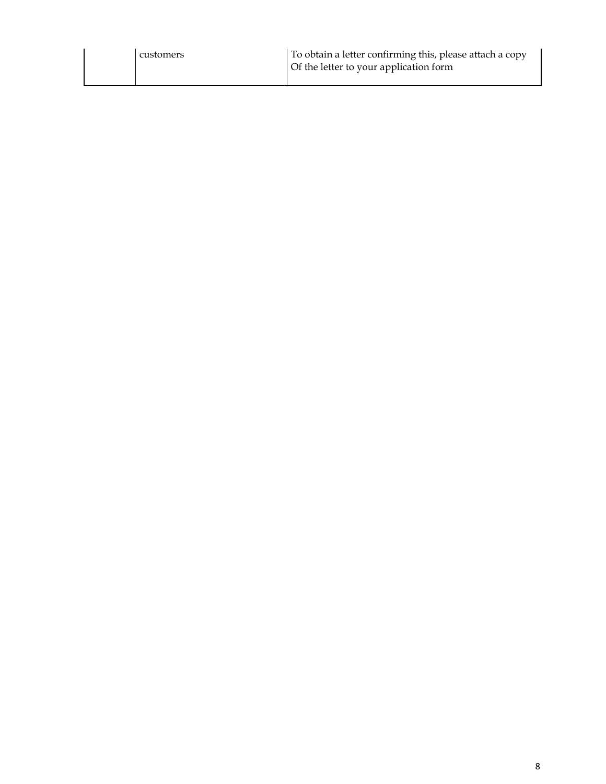| customers | To obtain a letter confirming this, please attach a copy<br>Of the letter to your application form |
|-----------|----------------------------------------------------------------------------------------------------|
|           |                                                                                                    |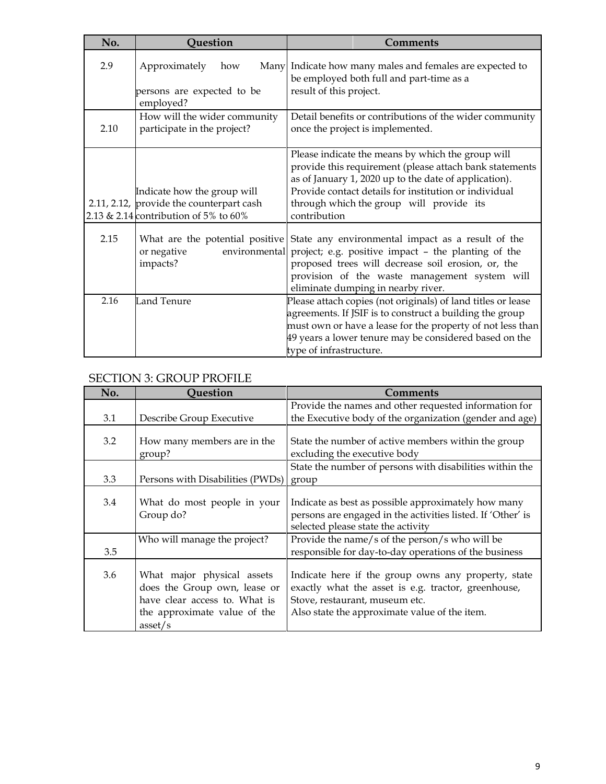| No.  | Question                                                                                                         | <b>Comments</b>                                                                                                                                                                                                                                                                            |
|------|------------------------------------------------------------------------------------------------------------------|--------------------------------------------------------------------------------------------------------------------------------------------------------------------------------------------------------------------------------------------------------------------------------------------|
| 2.9  | Approximately<br>how<br>persons are expected to be<br>employed?                                                  | Many Indicate how many males and females are expected to<br>be employed both full and part-time as a<br>result of this project.                                                                                                                                                            |
| 2.10 | How will the wider community<br>participate in the project?                                                      | Detail benefits or contributions of the wider community<br>once the project is implemented.                                                                                                                                                                                                |
|      | Indicate how the group will<br>2.11, 2.12, provide the counterpart cash<br>2.13 & 2.14 contribution of 5% to 60% | Please indicate the means by which the group will<br>provide this requirement (please attach bank statements<br>as of January 1, 2020 up to the date of application).<br>Provide contact details for institution or individual<br>through which the group will provide its<br>contribution |
| 2.15 | What are the potential positive<br>or negative<br>environmental<br>impacts?                                      | State any environmental impact as a result of the<br>project; e.g. positive impact - the planting of the<br>proposed trees will decrease soil erosion, or, the<br>provision of the waste management system will<br>eliminate dumping in nearby river.                                      |
| 2.16 | Land Tenure                                                                                                      | Please attach copies (not originals) of land titles or lease<br>agreements. If JSIF is to construct a building the group<br>must own or have a lease for the property of not less than<br>49 years a lower tenure may be considered based on the<br>type of infrastructure.                |

### SECTION 3: GROUP PROFILE

| No. | <b>Question</b>                                                                                                                        | <b>Comments</b>                                                                                                                                                                               |
|-----|----------------------------------------------------------------------------------------------------------------------------------------|-----------------------------------------------------------------------------------------------------------------------------------------------------------------------------------------------|
| 3.1 | Describe Group Executive                                                                                                               | Provide the names and other requested information for<br>the Executive body of the organization (gender and age)                                                                              |
| 3.2 | How many members are in the<br>group?                                                                                                  | State the number of active members within the group<br>excluding the executive body                                                                                                           |
| 3.3 | Persons with Disabilities (PWDs)                                                                                                       | State the number of persons with disabilities within the<br>group                                                                                                                             |
| 3.4 | What do most people in your<br>Group do?                                                                                               | Indicate as best as possible approximately how many<br>persons are engaged in the activities listed. If 'Other' is<br>selected please state the activity                                      |
| 3.5 | Who will manage the project?                                                                                                           | Provide the name/s of the person/s who will be<br>responsible for day-to-day operations of the business                                                                                       |
| 3.6 | What major physical assets<br>does the Group own, lease or<br>have clear access to. What is<br>the approximate value of the<br>asset/s | Indicate here if the group owns any property, state<br>exactly what the asset is e.g. tractor, greenhouse,<br>Stove, restaurant, museum etc.<br>Also state the approximate value of the item. |